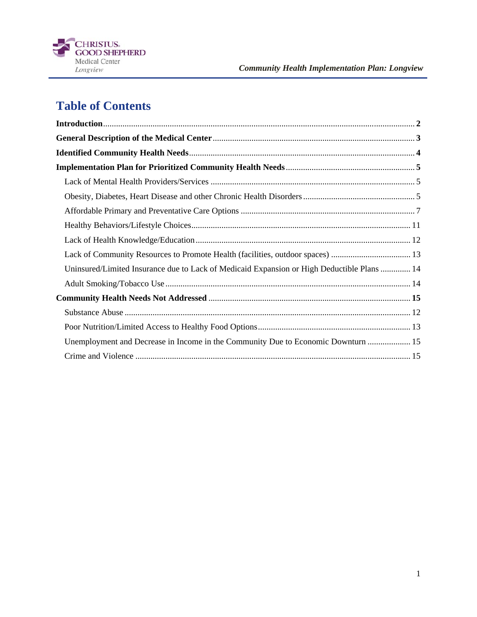

# **Table of Contents**

| Lack of Community Resources to Promote Health (facilities, outdoor spaces)  13             |
|--------------------------------------------------------------------------------------------|
| Uninsured/Limited Insurance due to Lack of Medicaid Expansion or High Deductible Plans  14 |
|                                                                                            |
|                                                                                            |
|                                                                                            |
|                                                                                            |
| Unemployment and Decrease in Income in the Community Due to Economic Downturn  15          |
|                                                                                            |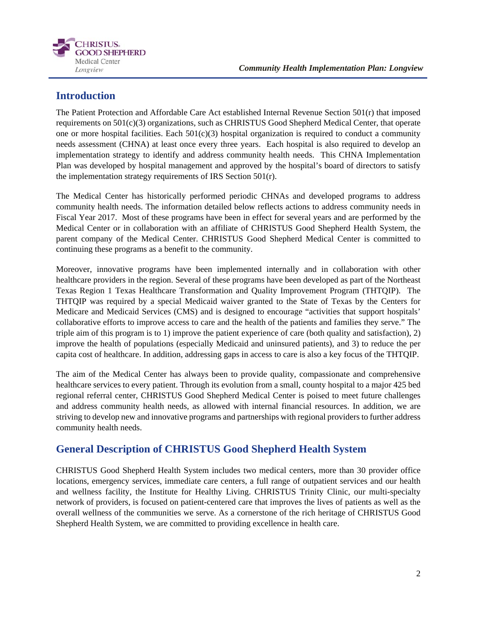

## **Introduction**

The Patient Protection and Affordable Care Act established Internal Revenue Section 501(r) that imposed requirements on 501(c)(3) organizations, such as CHRISTUS Good Shepherd Medical Center, that operate one or more hospital facilities. Each  $501(c)(3)$  hospital organization is required to conduct a community needs assessment (CHNA) at least once every three years. Each hospital is also required to develop an implementation strategy to identify and address community health needs. This CHNA Implementation Plan was developed by hospital management and approved by the hospital's board of directors to satisfy the implementation strategy requirements of IRS Section 501(r).

The Medical Center has historically performed periodic CHNAs and developed programs to address community health needs. The information detailed below reflects actions to address community needs in Fiscal Year 2017. Most of these programs have been in effect for several years and are performed by the Medical Center or in collaboration with an affiliate of CHRISTUS Good Shepherd Health System, the parent company of the Medical Center. CHRISTUS Good Shepherd Medical Center is committed to continuing these programs as a benefit to the community.

Moreover, innovative programs have been implemented internally and in collaboration with other healthcare providers in the region. Several of these programs have been developed as part of the Northeast Texas Region 1 Texas Healthcare Transformation and Quality Improvement Program (THTQIP). The THTQIP was required by a special Medicaid waiver granted to the State of Texas by the Centers for Medicare and Medicaid Services (CMS) and is designed to encourage "activities that support hospitals' collaborative efforts to improve access to care and the health of the patients and families they serve." The triple aim of this program is to 1) improve the patient experience of care (both quality and satisfaction), 2) improve the health of populations (especially Medicaid and uninsured patients), and 3) to reduce the per capita cost of healthcare. In addition, addressing gaps in access to care is also a key focus of the THTQIP.

The aim of the Medical Center has always been to provide quality, compassionate and comprehensive healthcare services to every patient. Through its evolution from a small, county hospital to a major 425 bed regional referral center, CHRISTUS Good Shepherd Medical Center is poised to meet future challenges and address community health needs, as allowed with internal financial resources. In addition, we are striving to develop new and innovative programs and partnerships with regional providers to further address community health needs.

## **General Description of CHRISTUS Good Shepherd Health System**

CHRISTUS Good Shepherd Health System includes two medical centers, more than 30 provider office locations, emergency services, immediate care centers, a full range of outpatient services and our health and wellness facility, the Institute for Healthy Living. CHRISTUS Trinity Clinic, our multi-specialty network of providers, is focused on patient-centered care that improves the lives of patients as well as the overall wellness of the communities we serve. As a cornerstone of the rich heritage of CHRISTUS Good Shepherd Health System, we are committed to providing excellence in health care.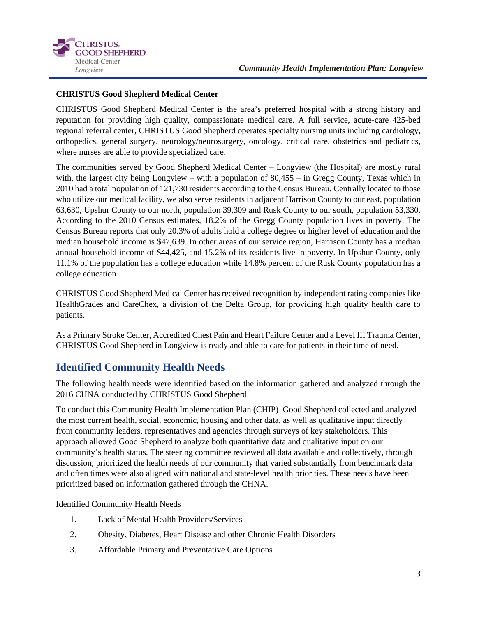

## **CHRISTUS Good Shepherd Medical Center**

CHRISTUS Good Shepherd Medical Center is the area's preferred hospital with a strong history and reputation for providing high quality, compassionate medical care. A full service, acute-care 425-bed regional referral center, CHRISTUS Good Shepherd operates specialty nursing units including cardiology, orthopedics, general surgery, neurology/neurosurgery, oncology, critical care, obstetrics and pediatrics, where nurses are able to provide specialized care.

The communities served by Good Shepherd Medical Center – Longview (the Hospital) are mostly rural with, the largest city being Longview – with a population of 80,455 – in Gregg County, Texas which in 2010 had a total population of 121,730 residents according to the Census Bureau. Centrally located to those who utilize our medical facility, we also serve residents in adjacent Harrison County to our east, population 63,630, Upshur County to our north, population 39,309 and Rusk County to our south, population 53,330. According to the 2010 Census estimates, 18.2% of the Gregg County population lives in poverty. The Census Bureau reports that only 20.3% of adults hold a college degree or higher level of education and the median household income is \$47,639. In other areas of our service region, Harrison County has a median annual household income of \$44,425, and 15.2% of its residents live in poverty. In Upshur County, only 11.1% of the population has a college education while 14.8% percent of the Rusk County population has a college education

CHRISTUS Good Shepherd Medical Center has received recognition by independent rating companies like HealthGrades and CareChex, a division of the Delta Group, for providing high quality health care to patients.

As a Primary Stroke Center, Accredited Chest Pain and Heart Failure Center and a Level III Trauma Center, CHRISTUS Good Shepherd in Longview is ready and able to care for patients in their time of need.

## **Identified Community Health Needs**

The following health needs were identified based on the information gathered and analyzed through the 2016 CHNA conducted by CHRISTUS Good Shepherd

To conduct this Community Health Implementation Plan (CHIP) Good Shepherd collected and analyzed the most current health, social, economic, housing and other data, as well as qualitative input directly from community leaders, representatives and agencies through surveys of key stakeholders. This approach allowed Good Shepherd to analyze both quantitative data and qualitative input on our community's health status. The steering committee reviewed all data available and collectively, through discussion, prioritized the health needs of our community that varied substantially from benchmark data and often times were also aligned with national and state-level health priorities. These needs have been prioritized based on information gathered through the CHNA.

Identified Community Health Needs

- 1. Lack of Mental Health Providers/Services
- 2. Obesity, Diabetes, Heart Disease and other Chronic Health Disorders
- 3. Affordable Primary and Preventative Care Options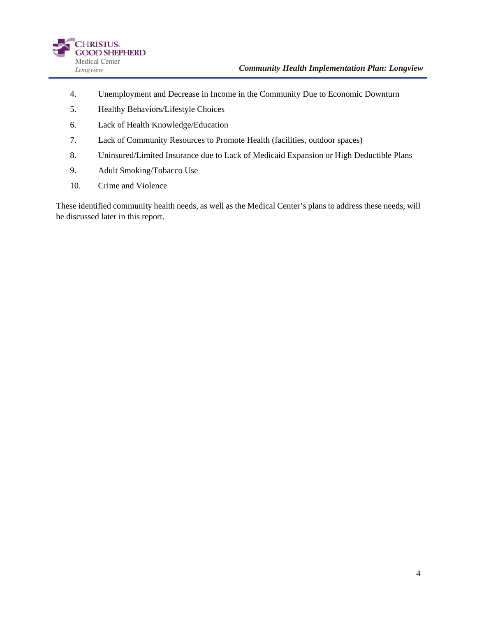

- 4. Unemployment and Decrease in Income in the Community Due to Economic Downturn
- 5. Healthy Behaviors/Lifestyle Choices
- 6. Lack of Health Knowledge/Education
- 7. Lack of Community Resources to Promote Health (facilities, outdoor spaces)
- 8. Uninsured/Limited Insurance due to Lack of Medicaid Expansion or High Deductible Plans
- 9. Adult Smoking/Tobacco Use
- 10. Crime and Violence

These identified community health needs, as well as the Medical Center's plans to address these needs, will be discussed later in this report.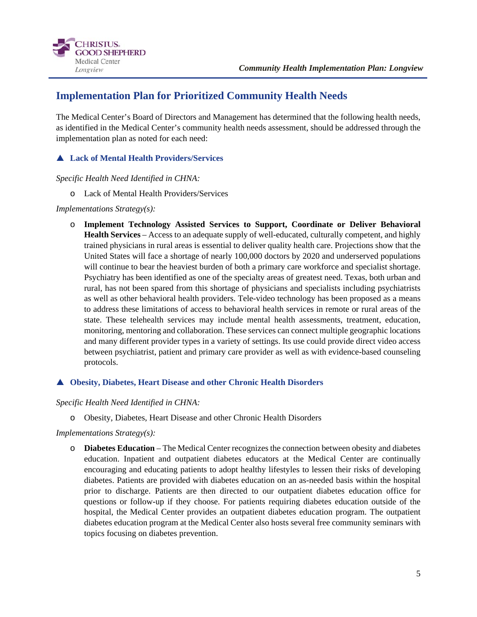

## **Implementation Plan for Prioritized Community Health Needs**

The Medical Center's Board of Directors and Management has determined that the following health needs, as identified in the Medical Center's community health needs assessment, should be addressed through the implementation plan as noted for each need:

## **Lack of Mental Health Providers/Services**

*Specific Health Need Identified in CHNA:* 

o Lack of Mental Health Providers/Services

## *Implementations Strategy(s):*

o **Implement Technology Assisted Services to Support, Coordinate or Deliver Behavioral Health Services** – Access to an adequate supply of well-educated, culturally competent, and highly trained physicians in rural areas is essential to deliver quality health care. Projections show that the United States will face a shortage of nearly 100,000 doctors by 2020 and underserved populations will continue to bear the heaviest burden of both a primary care workforce and specialist shortage. Psychiatry has been identified as one of the specialty areas of greatest need. Texas, both urban and rural, has not been spared from this shortage of physicians and specialists including psychiatrists as well as other behavioral health providers. Tele-video technology has been proposed as a means to address these limitations of access to behavioral health services in remote or rural areas of the state. These telehealth services may include mental health assessments, treatment, education, monitoring, mentoring and collaboration. These services can connect multiple geographic locations and many different provider types in a variety of settings. Its use could provide direct video access between psychiatrist, patient and primary care provider as well as with evidence-based counseling protocols.

## **Obesity, Diabetes, Heart Disease and other Chronic Health Disorders**

### *Specific Health Need Identified in CHNA:*

o Obesity, Diabetes, Heart Disease and other Chronic Health Disorders

### *Implementations Strategy(s):*

o **Diabetes Education** – The Medical Center recognizes the connection between obesity and diabetes education. Inpatient and outpatient diabetes educators at the Medical Center are continually encouraging and educating patients to adopt healthy lifestyles to lessen their risks of developing diabetes. Patients are provided with diabetes education on an as-needed basis within the hospital prior to discharge. Patients are then directed to our outpatient diabetes education office for questions or follow-up if they choose. For patients requiring diabetes education outside of the hospital, the Medical Center provides an outpatient diabetes education program. The outpatient diabetes education program at the Medical Center also hosts several free community seminars with topics focusing on diabetes prevention.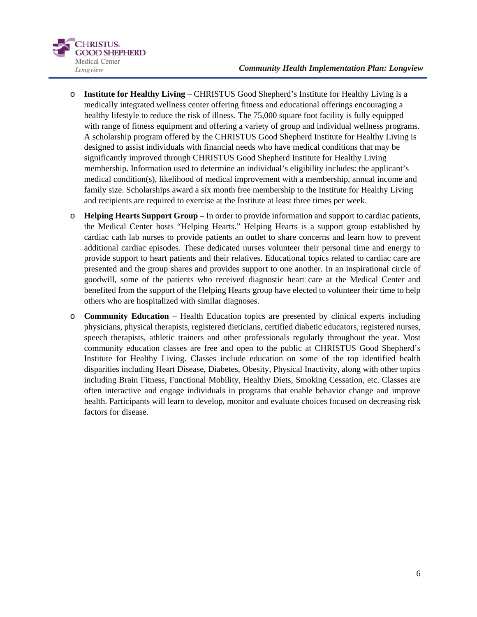

- o **Institute for Healthy Living** CHRISTUS Good Shepherd's Institute for Healthy Living is a medically integrated wellness center offering fitness and educational offerings encouraging a healthy lifestyle to reduce the risk of illness. The 75,000 square foot facility is fully equipped with range of fitness equipment and offering a variety of group and individual wellness programs. A scholarship program offered by the CHRISTUS Good Shepherd Institute for Healthy Living is designed to assist individuals with financial needs who have medical conditions that may be significantly improved through CHRISTUS Good Shepherd Institute for Healthy Living membership. Information used to determine an individual's eligibility includes: the applicant's medical condition(s), likelihood of medical improvement with a membership, annual income and family size. Scholarships award a six month free membership to the Institute for Healthy Living and recipients are required to exercise at the Institute at least three times per week.
- o **Helping Hearts Support Group** In order to provide information and support to cardiac patients, the Medical Center hosts "Helping Hearts." Helping Hearts is a support group established by cardiac cath lab nurses to provide patients an outlet to share concerns and learn how to prevent additional cardiac episodes. These dedicated nurses volunteer their personal time and energy to provide support to heart patients and their relatives. Educational topics related to cardiac care are presented and the group shares and provides support to one another. In an inspirational circle of goodwill, some of the patients who received diagnostic heart care at the Medical Center and benefited from the support of the Helping Hearts group have elected to volunteer their time to help others who are hospitalized with similar diagnoses.
- o **Community Education** Health Education topics are presented by clinical experts including physicians, physical therapists, registered dieticians, certified diabetic educators, registered nurses, speech therapists, athletic trainers and other professionals regularly throughout the year. Most community education classes are free and open to the public at CHRISTUS Good Shepherd's Institute for Healthy Living. Classes include education on some of the top identified health disparities including Heart Disease, Diabetes, Obesity, Physical Inactivity, along with other topics including Brain Fitness, Functional Mobility, Healthy Diets, Smoking Cessation, etc. Classes are often interactive and engage individuals in programs that enable behavior change and improve health. Participants will learn to develop, monitor and evaluate choices focused on decreasing risk factors for disease.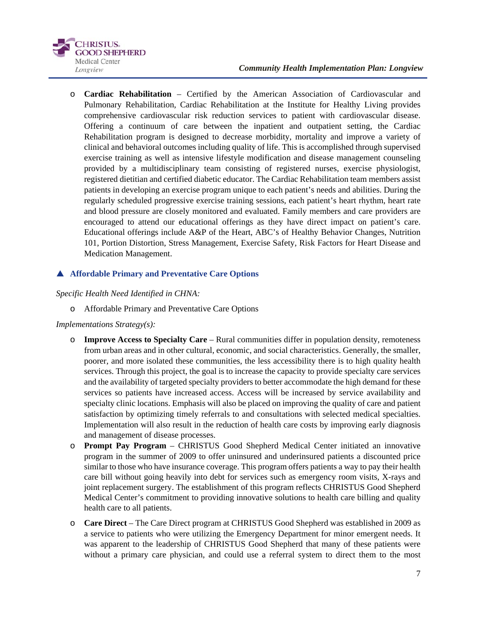#### *Community Health Implementation Plan: Longview*



o **Cardiac Rehabilitation** – Certified by the American Association of Cardiovascular and Pulmonary Rehabilitation, Cardiac Rehabilitation at the Institute for Healthy Living provides comprehensive cardiovascular risk reduction services to patient with cardiovascular disease. Offering a continuum of care between the inpatient and outpatient setting, the Cardiac Rehabilitation program is designed to decrease morbidity, mortality and improve a variety of clinical and behavioral outcomes including quality of life. This is accomplished through supervised exercise training as well as intensive lifestyle modification and disease management counseling provided by a multidisciplinary team consisting of registered nurses, exercise physiologist, registered dietitian and certified diabetic educator. The Cardiac Rehabilitation team members assist patients in developing an exercise program unique to each patient's needs and abilities. During the regularly scheduled progressive exercise training sessions, each patient's heart rhythm, heart rate and blood pressure are closely monitored and evaluated. Family members and care providers are encouraged to attend our educational offerings as they have direct impact on patient's care. Educational offerings include A&P of the Heart, ABC's of Healthy Behavior Changes, Nutrition 101, Portion Distortion, Stress Management, Exercise Safety, Risk Factors for Heart Disease and Medication Management.

## **Affordable Primary and Preventative Care Options**

### *Specific Health Need Identified in CHNA:*

o Affordable Primary and Preventative Care Options

### *Implementations Strategy(s):*

- o **Improve Access to Specialty Care** Rural communities differ in population density, remoteness from urban areas and in other cultural, economic, and social characteristics. Generally, the smaller, poorer, and more isolated these communities, the less accessibility there is to high quality health services. Through this project, the goal is to increase the capacity to provide specialty care services and the availability of targeted specialty providers to better accommodate the high demand for these services so patients have increased access. Access will be increased by service availability and specialty clinic locations. Emphasis will also be placed on improving the quality of care and patient satisfaction by optimizing timely referrals to and consultations with selected medical specialties. Implementation will also result in the reduction of health care costs by improving early diagnosis and management of disease processes.
- o **Prompt Pay Program** CHRISTUS Good Shepherd Medical Center initiated an innovative program in the summer of 2009 to offer uninsured and underinsured patients a discounted price similar to those who have insurance coverage. This program offers patients a way to pay their health care bill without going heavily into debt for services such as emergency room visits, X-rays and joint replacement surgery. The establishment of this program reflects CHRISTUS Good Shepherd Medical Center's commitment to providing innovative solutions to health care billing and quality health care to all patients.
- o **Care Direct** The Care Direct program at CHRISTUS Good Shepherd was established in 2009 as a service to patients who were utilizing the Emergency Department for minor emergent needs. It was apparent to the leadership of CHRISTUS Good Shepherd that many of these patients were without a primary care physician, and could use a referral system to direct them to the most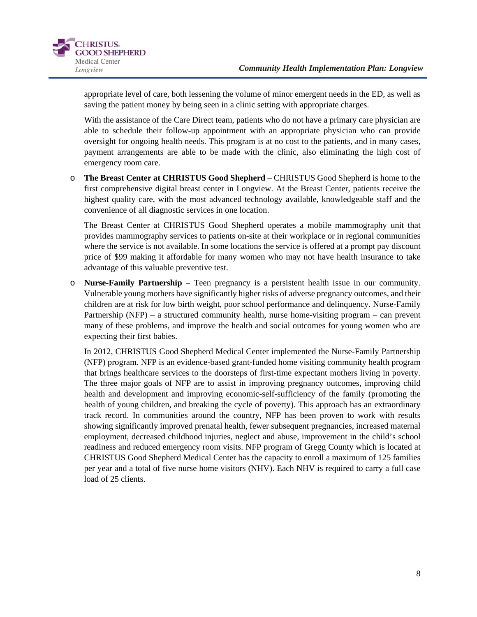

appropriate level of care, both lessening the volume of minor emergent needs in the ED, as well as saving the patient money by being seen in a clinic setting with appropriate charges.

With the assistance of the Care Direct team, patients who do not have a primary care physician are able to schedule their follow-up appointment with an appropriate physician who can provide oversight for ongoing health needs. This program is at no cost to the patients, and in many cases, payment arrangements are able to be made with the clinic, also eliminating the high cost of emergency room care.

o **The Breast Center at CHRISTUS Good Shepherd** – CHRISTUS Good Shepherd is home to the first comprehensive digital breast center in Longview. At the Breast Center, patients receive the highest quality care, with the most advanced technology available, knowledgeable staff and the convenience of all diagnostic services in one location.

The Breast Center at CHRISTUS Good Shepherd operates a mobile mammography unit that provides mammography services to patients on-site at their workplace or in regional communities where the service is not available. In some locations the service is offered at a prompt pay discount price of \$99 making it affordable for many women who may not have health insurance to take advantage of this valuable preventive test.

o **Nurse-Family Partnership** – Teen pregnancy is a persistent health issue in our community. Vulnerable young mothers have significantly higher risks of adverse pregnancy outcomes, and their children are at risk for low birth weight, poor school performance and delinquency. Nurse-Family Partnership (NFP) – a structured community health, nurse home-visiting program – can prevent many of these problems, and improve the health and social outcomes for young women who are expecting their first babies.

In 2012, CHRISTUS Good Shepherd Medical Center implemented the Nurse-Family Partnership (NFP) program. NFP is an evidence-based grant-funded home visiting community health program that brings healthcare services to the doorsteps of first-time expectant mothers living in poverty. The three major goals of NFP are to assist in improving pregnancy outcomes, improving child health and development and improving economic-self-sufficiency of the family (promoting the health of young children, and breaking the cycle of poverty). This approach has an extraordinary track record. In communities around the country, NFP has been proven to work with results showing significantly improved prenatal health, fewer subsequent pregnancies, increased maternal employment, decreased childhood injuries, neglect and abuse, improvement in the child's school readiness and reduced emergency room visits. NFP program of Gregg County which is located at CHRISTUS Good Shepherd Medical Center has the capacity to enroll a maximum of 125 families per year and a total of five nurse home visitors (NHV). Each NHV is required to carry a full case load of 25 clients.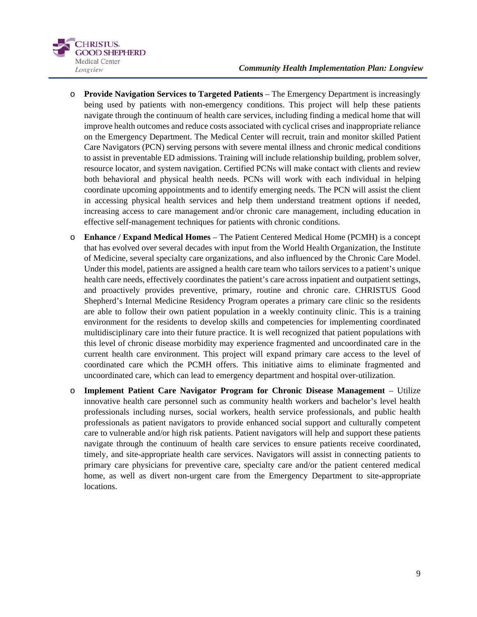

- o **Provide Navigation Services to Targeted Patients** The Emergency Department is increasingly being used by patients with non-emergency conditions. This project will help these patients navigate through the continuum of health care services, including finding a medical home that will improve health outcomes and reduce costs associated with cyclical crises and inappropriate reliance on the Emergency Department. The Medical Center will recruit, train and monitor skilled Patient Care Navigators (PCN) serving persons with severe mental illness and chronic medical conditions to assist in preventable ED admissions. Training will include relationship building, problem solver, resource locator, and system navigation. Certified PCNs will make contact with clients and review both behavioral and physical health needs. PCNs will work with each individual in helping coordinate upcoming appointments and to identify emerging needs. The PCN will assist the client in accessing physical health services and help them understand treatment options if needed, increasing access to care management and/or chronic care management, including education in effective self-management techniques for patients with chronic conditions.
- o **Enhance / Expand Medical Homes** The Patient Centered Medical Home (PCMH) is a concept that has evolved over several decades with input from the World Health Organization, the Institute of Medicine, several specialty care organizations, and also influenced by the Chronic Care Model. Under this model, patients are assigned a health care team who tailors services to a patient's unique health care needs, effectively coordinates the patient's care across inpatient and outpatient settings, and proactively provides preventive, primary, routine and chronic care. CHRISTUS Good Shepherd's Internal Medicine Residency Program operates a primary care clinic so the residents are able to follow their own patient population in a weekly continuity clinic. This is a training environment for the residents to develop skills and competencies for implementing coordinated multidisciplinary care into their future practice. It is well recognized that patient populations with this level of chronic disease morbidity may experience fragmented and uncoordinated care in the current health care environment. This project will expand primary care access to the level of coordinated care which the PCMH offers. This initiative aims to eliminate fragmented and uncoordinated care, which can lead to emergency department and hospital over-utilization.
- o **Implement Patient Care Navigator Program for Chronic Disease Management** Utilize innovative health care personnel such as community health workers and bachelor's level health professionals including nurses, social workers, health service professionals, and public health professionals as patient navigators to provide enhanced social support and culturally competent care to vulnerable and/or high risk patients. Patient navigators will help and support these patients navigate through the continuum of health care services to ensure patients receive coordinated, timely, and site-appropriate health care services. Navigators will assist in connecting patients to primary care physicians for preventive care, specialty care and/or the patient centered medical home, as well as divert non-urgent care from the Emergency Department to site-appropriate locations.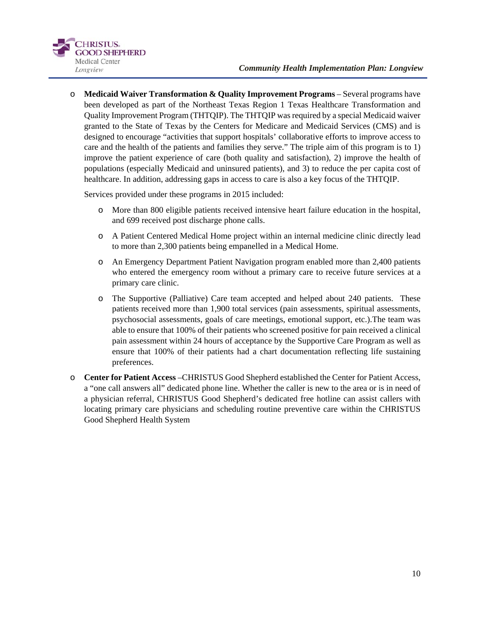

o **Medicaid Waiver Transformation & Quality Improvement Programs** – Several programs have been developed as part of the Northeast Texas Region 1 Texas Healthcare Transformation and Quality Improvement Program (THTQIP). The THTQIP was required by a special Medicaid waiver granted to the State of Texas by the Centers for Medicare and Medicaid Services (CMS) and is designed to encourage "activities that support hospitals' collaborative efforts to improve access to care and the health of the patients and families they serve." The triple aim of this program is to 1) improve the patient experience of care (both quality and satisfaction), 2) improve the health of populations (especially Medicaid and uninsured patients), and 3) to reduce the per capita cost of healthcare. In addition, addressing gaps in access to care is also a key focus of the THTQIP.

Services provided under these programs in 2015 included:

- o More than 800 eligible patients received intensive heart failure education in the hospital, and 699 received post discharge phone calls.
- o A Patient Centered Medical Home project within an internal medicine clinic directly lead to more than 2,300 patients being empanelled in a Medical Home.
- o An Emergency Department Patient Navigation program enabled more than 2,400 patients who entered the emergency room without a primary care to receive future services at a primary care clinic.
- o The Supportive (Palliative) Care team accepted and helped about 240 patients. These patients received more than 1,900 total services (pain assessments, spiritual assessments, psychosocial assessments, goals of care meetings, emotional support, etc.).The team was able to ensure that 100% of their patients who screened positive for pain received a clinical pain assessment within 24 hours of acceptance by the Supportive Care Program as well as ensure that 100% of their patients had a chart documentation reflecting life sustaining preferences.
- o **Center for Patient Access** –CHRISTUS Good Shepherd established the Center for Patient Access, a "one call answers all" dedicated phone line. Whether the caller is new to the area or is in need of a physician referral, CHRISTUS Good Shepherd's dedicated free hotline can assist callers with locating primary care physicians and scheduling routine preventive care within the CHRISTUS Good Shepherd Health System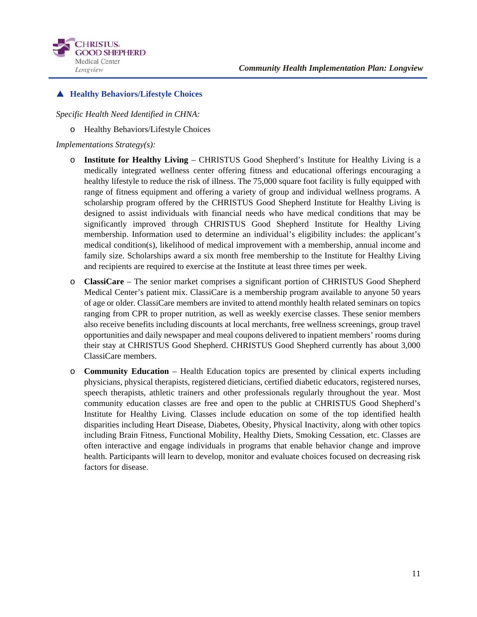

## **Healthy Behaviors/Lifestyle Choices**

*Specific Health Need Identified in CHNA:* 

o Healthy Behaviors/Lifestyle Choices

### *Implementations Strategy(s):*

- o **Institute for Healthy Living** CHRISTUS Good Shepherd's Institute for Healthy Living is a medically integrated wellness center offering fitness and educational offerings encouraging a healthy lifestyle to reduce the risk of illness. The 75,000 square foot facility is fully equipped with range of fitness equipment and offering a variety of group and individual wellness programs. A scholarship program offered by the CHRISTUS Good Shepherd Institute for Healthy Living is designed to assist individuals with financial needs who have medical conditions that may be significantly improved through CHRISTUS Good Shepherd Institute for Healthy Living membership. Information used to determine an individual's eligibility includes: the applicant's medical condition(s), likelihood of medical improvement with a membership, annual income and family size. Scholarships award a six month free membership to the Institute for Healthy Living and recipients are required to exercise at the Institute at least three times per week.
- o **ClassiCare**  The senior market comprises a significant portion of CHRISTUS Good Shepherd Medical Center's patient mix. ClassiCare is a membership program available to anyone 50 years of age or older. ClassiCare members are invited to attend monthly health related seminars on topics ranging from CPR to proper nutrition, as well as weekly exercise classes. These senior members also receive benefits including discounts at local merchants, free wellness screenings, group travel opportunities and daily newspaper and meal coupons delivered to inpatient members' rooms during their stay at CHRISTUS Good Shepherd. CHRISTUS Good Shepherd currently has about 3,000 ClassiCare members.
- o **Community Education** Health Education topics are presented by clinical experts including physicians, physical therapists, registered dieticians, certified diabetic educators, registered nurses, speech therapists, athletic trainers and other professionals regularly throughout the year. Most community education classes are free and open to the public at CHRISTUS Good Shepherd's Institute for Healthy Living. Classes include education on some of the top identified health disparities including Heart Disease, Diabetes, Obesity, Physical Inactivity, along with other topics including Brain Fitness, Functional Mobility, Healthy Diets, Smoking Cessation, etc. Classes are often interactive and engage individuals in programs that enable behavior change and improve health. Participants will learn to develop, monitor and evaluate choices focused on decreasing risk factors for disease.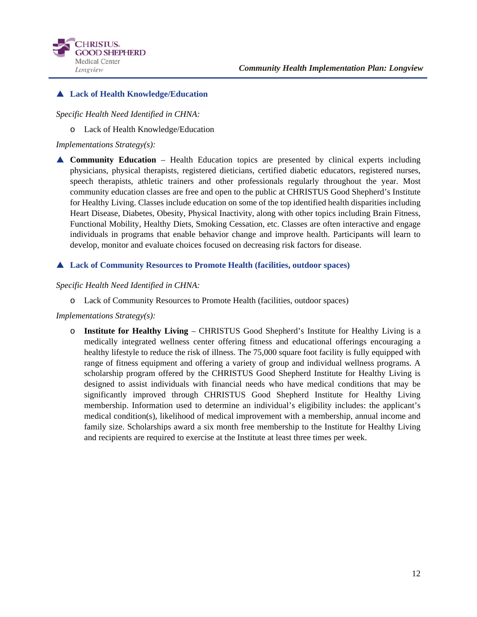

## **Lack of Health Knowledge/Education**

## *Specific Health Need Identified in CHNA:*

o Lack of Health Knowledge/Education

### *Implementations Strategy(s):*

 **Community Education** – Health Education topics are presented by clinical experts including physicians, physical therapists, registered dieticians, certified diabetic educators, registered nurses, speech therapists, athletic trainers and other professionals regularly throughout the year. Most community education classes are free and open to the public at CHRISTUS Good Shepherd's Institute for Healthy Living. Classes include education on some of the top identified health disparities including Heart Disease, Diabetes, Obesity, Physical Inactivity, along with other topics including Brain Fitness, Functional Mobility, Healthy Diets, Smoking Cessation, etc. Classes are often interactive and engage individuals in programs that enable behavior change and improve health. Participants will learn to develop, monitor and evaluate choices focused on decreasing risk factors for disease.

## **Lack of Community Resources to Promote Health (facilities, outdoor spaces)**

### *Specific Health Need Identified in CHNA:*

o Lack of Community Resources to Promote Health (facilities, outdoor spaces)

### *Implementations Strategy(s):*

o **Institute for Healthy Living** – CHRISTUS Good Shepherd's Institute for Healthy Living is a medically integrated wellness center offering fitness and educational offerings encouraging a healthy lifestyle to reduce the risk of illness. The 75,000 square foot facility is fully equipped with range of fitness equipment and offering a variety of group and individual wellness programs. A scholarship program offered by the CHRISTUS Good Shepherd Institute for Healthy Living is designed to assist individuals with financial needs who have medical conditions that may be significantly improved through CHRISTUS Good Shepherd Institute for Healthy Living membership. Information used to determine an individual's eligibility includes: the applicant's medical condition(s), likelihood of medical improvement with a membership, annual income and family size. Scholarships award a six month free membership to the Institute for Healthy Living and recipients are required to exercise at the Institute at least three times per week.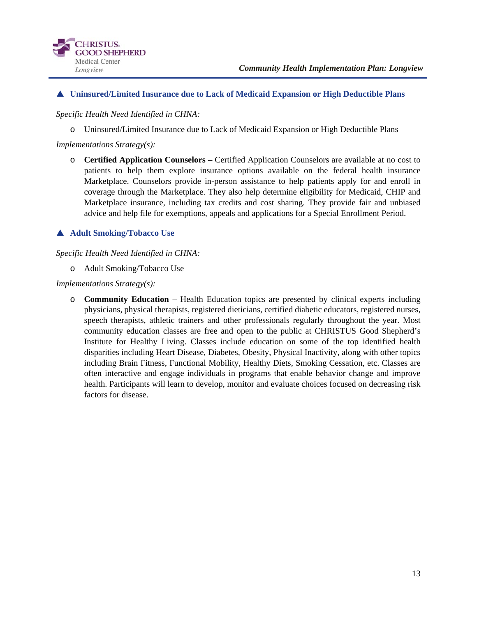

### **Uninsured/Limited Insurance due to Lack of Medicaid Expansion or High Deductible Plans**

*Specific Health Need Identified in CHNA:* 

o Uninsured/Limited Insurance due to Lack of Medicaid Expansion or High Deductible Plans

*Implementations Strategy(s):* 

o **Certified Application Counselors –** Certified Application Counselors are available at no cost to patients to help them explore insurance options available on the federal health insurance Marketplace. Counselors provide in-person assistance to help patients apply for and enroll in coverage through the Marketplace. They also help determine eligibility for Medicaid, CHIP and Marketplace insurance, including tax credits and cost sharing. They provide fair and unbiased advice and help file for exemptions, appeals and applications for a Special Enrollment Period.

## **Adult Smoking/Tobacco Use**

#### *Specific Health Need Identified in CHNA:*

o Adult Smoking/Tobacco Use

*Implementations Strategy(s):* 

o **Community Education** – Health Education topics are presented by clinical experts including physicians, physical therapists, registered dieticians, certified diabetic educators, registered nurses, speech therapists, athletic trainers and other professionals regularly throughout the year. Most community education classes are free and open to the public at CHRISTUS Good Shepherd's Institute for Healthy Living. Classes include education on some of the top identified health disparities including Heart Disease, Diabetes, Obesity, Physical Inactivity, along with other topics including Brain Fitness, Functional Mobility, Healthy Diets, Smoking Cessation, etc. Classes are often interactive and engage individuals in programs that enable behavior change and improve health. Participants will learn to develop, monitor and evaluate choices focused on decreasing risk factors for disease.